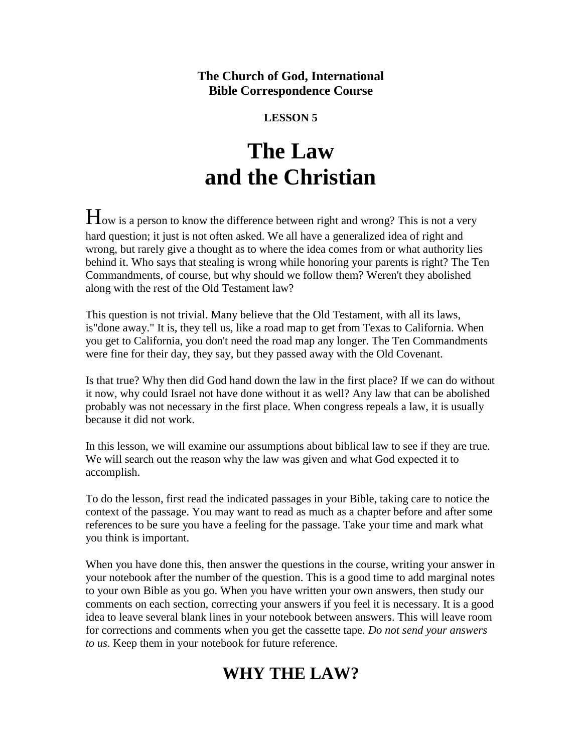# **The Church of God, International Bible Correspondence Course**

# **LESSON 5**

# **The Law and the Christian**

How is a person to know the difference between right and wrong? This is not a very hard question; it just is not often asked. We all have a generalized idea of right and wrong, but rarely give a thought as to where the idea comes from or what authority lies behind it. Who says that stealing is wrong while honoring your parents is right? The Ten Commandments, of course, but why should we follow them? Weren't they abolished along with the rest of the Old Testament law?

This question is not trivial. Many believe that the Old Testament, with all its laws, is"done away." It is, they tell us, like a road map to get from Texas to California. When you get to California, you don't need the road map any longer. The Ten Commandments were fine for their day, they say, but they passed away with the Old Covenant.

Is that true? Why then did God hand down the law in the first place? If we can do without it now, why could Israel not have done without it as well? Any law that can be abolished probably was not necessary in the first place. When congress repeals a law, it is usually because it did not work.

In this lesson, we will examine our assumptions about biblical law to see if they are true. We will search out the reason why the law was given and what God expected it to accomplish.

To do the lesson, first read the indicated passages in your Bible, taking care to notice the context of the passage. You may want to read as much as a chapter before and after some references to be sure you have a feeling for the passage. Take your time and mark what you think is important.

When you have done this, then answer the questions in the course, writing your answer in your notebook after the number of the question. This is a good time to add marginal notes to your own Bible as you go. When you have written your own answers, then study our comments on each section, correcting your answers if you feel it is necessary. It is a good idea to leave several blank lines in your notebook between answers. This will leave room for corrections and comments when you get the cassette tape. *Do not send your answers to us.* Keep them in your notebook for future reference.

# **WHY THE LAW?**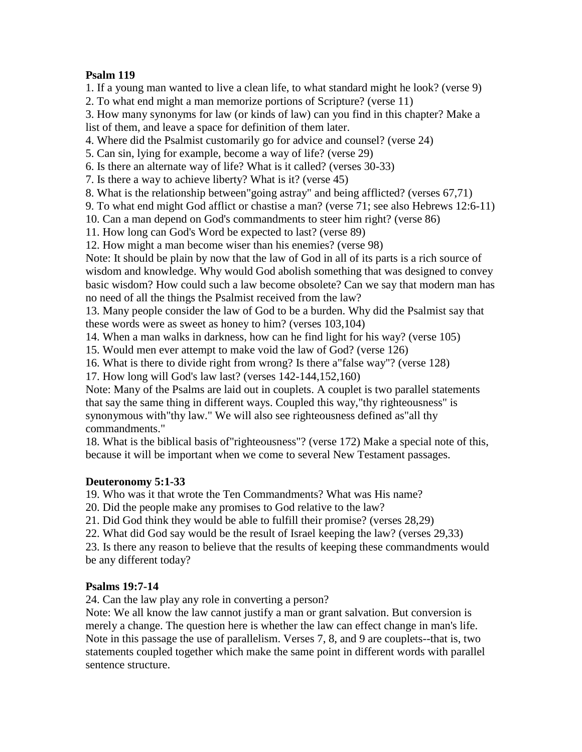# **Psalm 119**

1. If a young man wanted to live a clean life, to what standard might he look? (verse 9)

2. To what end might a man memorize portions of Scripture? (verse 11)

3. How many synonyms for law (or kinds of law) can you find in this chapter? Make a list of them, and leave a space for definition of them later.

4. Where did the Psalmist customarily go for advice and counsel? (verse 24)

5. Can sin, lying for example, become a way of life? (verse 29)

6. Is there an alternate way of life? What is it called? (verses 30-33)

7. Is there a way to achieve liberty? What is it? (verse 45)

8. What is the relationship between"going astray" and being afflicted? (verses 67,71)

9. To what end might God afflict or chastise a man? (verse 71; see also Hebrews 12:6-11)

10. Can a man depend on God's commandments to steer him right? (verse 86)

11. How long can God's Word be expected to last? (verse 89)

12. How might a man become wiser than his enemies? (verse 98)

Note: It should be plain by now that the law of God in all of its parts is a rich source of wisdom and knowledge. Why would God abolish something that was designed to convey basic wisdom? How could such a law become obsolete? Can we say that modern man has no need of all the things the Psalmist received from the law?

13. Many people consider the law of God to be a burden. Why did the Psalmist say that these words were as sweet as honey to him? (verses 103,104)

14. When a man walks in darkness, how can he find light for his way? (verse 105)

15. Would men ever attempt to make void the law of God? (verse 126)

16. What is there to divide right from wrong? Is there a"false way"? (verse 128)

17. How long will God's law last? (verses 142-144,152,160)

Note: Many of the Psalms are laid out in couplets. A couplet is two parallel statements that say the same thing in different ways. Coupled this way,"thy righteousness" is synonymous with"thy law." We will also see righteousness defined as"all thy commandments."

18. What is the biblical basis of"righteousness"? (verse 172) Make a special note of this, because it will be important when we come to several New Testament passages.

# **Deuteronomy 5:1-33**

19. Who was it that wrote the Ten Commandments? What was His name?

20. Did the people make any promises to God relative to the law?

21. Did God think they would be able to fulfill their promise? (verses 28,29)

22. What did God say would be the result of Israel keeping the law? (verses 29,33)

23. Is there any reason to believe that the results of keeping these commandments would be any different today?

#### **Psalms 19:7-14**

24. Can the law play any role in converting a person?

Note: We all know the law cannot justify a man or grant salvation. But conversion is merely a change. The question here is whether the law can effect change in man's life. Note in this passage the use of parallelism. Verses 7, 8, and 9 are couplets--that is, two statements coupled together which make the same point in different words with parallel sentence structure.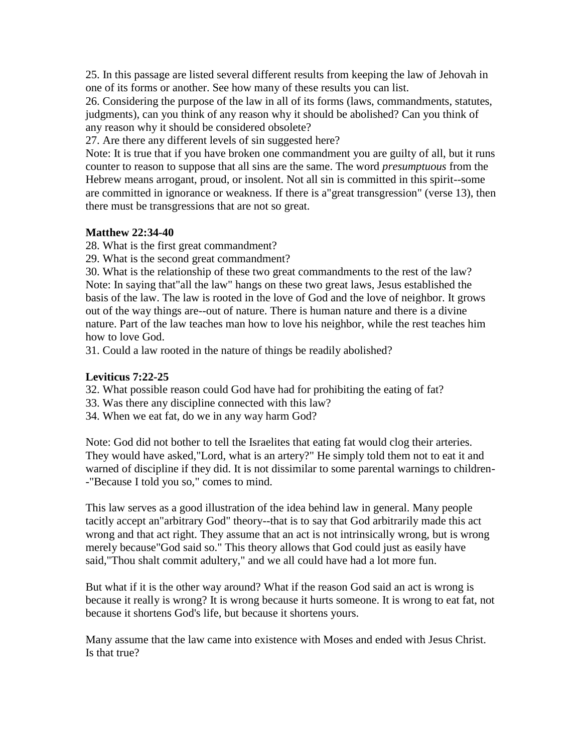25. In this passage are listed several different results from keeping the law of Jehovah in one of its forms or another. See how many of these results you can list.

26. Considering the purpose of the law in all of its forms (laws, commandments, statutes, judgments), can you think of any reason why it should be abolished? Can you think of any reason why it should be considered obsolete?

27. Are there any different levels of sin suggested here?

Note: It is true that if you have broken one commandment you are guilty of all, but it runs counter to reason to suppose that all sins are the same. The word *presumptuous* from the Hebrew means arrogant, proud, or insolent. Not all sin is committed in this spirit--some are committed in ignorance or weakness. If there is a"great transgression" (verse 13), then there must be transgressions that are not so great.

# **Matthew 22:34-40**

28. What is the first great commandment?

29. What is the second great commandment?

30. What is the relationship of these two great commandments to the rest of the law? Note: In saying that"all the law" hangs on these two great laws, Jesus established the basis of the law. The law is rooted in the love of God and the love of neighbor. It grows out of the way things are--out of nature. There is human nature and there is a divine nature. Part of the law teaches man how to love his neighbor, while the rest teaches him how to love God.

31. Could a law rooted in the nature of things be readily abolished?

#### **Leviticus 7:22-25**

- 32. What possible reason could God have had for prohibiting the eating of fat?
- 33. Was there any discipline connected with this law?
- 34. When we eat fat, do we in any way harm God?

Note: God did not bother to tell the Israelites that eating fat would clog their arteries. They would have asked,"Lord, what is an artery?" He simply told them not to eat it and warned of discipline if they did. It is not dissimilar to some parental warnings to children- -"Because I told you so," comes to mind.

This law serves as a good illustration of the idea behind law in general. Many people tacitly accept an"arbitrary God" theory--that is to say that God arbitrarily made this act wrong and that act right. They assume that an act is not intrinsically wrong, but is wrong merely because"God said so." This theory allows that God could just as easily have said,"Thou shalt commit adultery," and we all could have had a lot more fun.

But what if it is the other way around? What if the reason God said an act is wrong is because it really is wrong? It is wrong because it hurts someone. It is wrong to eat fat, not because it shortens God's life, but because it shortens yours.

Many assume that the law came into existence with Moses and ended with Jesus Christ. Is that true?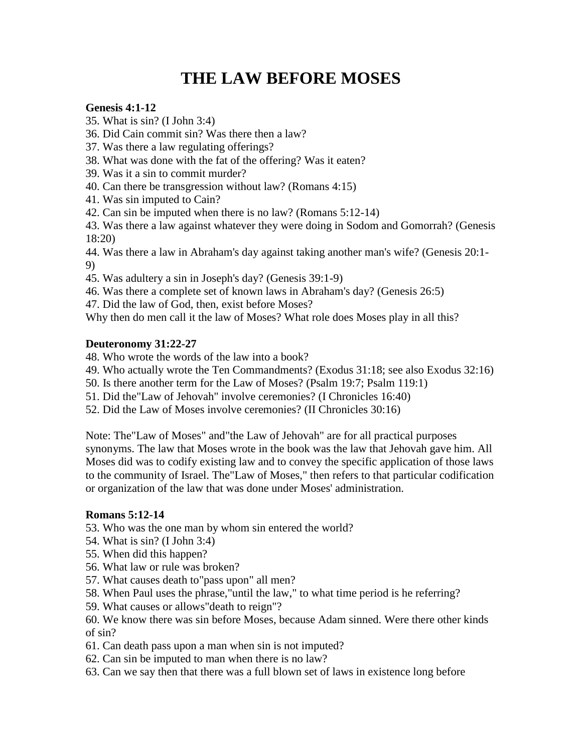# **THE LAW BEFORE MOSES**

#### **Genesis 4:1-12**

- 35. What is sin? (I John 3:4)
- 36. Did Cain commit sin? Was there then a law?
- 37. Was there a law regulating offerings?
- 38. What was done with the fat of the offering? Was it eaten?
- 39. Was it a sin to commit murder?
- 40. Can there be transgression without law? (Romans 4:15)
- 41. Was sin imputed to Cain?
- 42. Can sin be imputed when there is no law? (Romans 5:12-14)
- 43. Was there a law against whatever they were doing in Sodom and Gomorrah? (Genesis 18:20)
- 44. Was there a law in Abraham's day against taking another man's wife? (Genesis 20:1- 9)
- 45. Was adultery a sin in Joseph's day? (Genesis 39:1-9)
- 46. Was there a complete set of known laws in Abraham's day? (Genesis 26:5)
- 47. Did the law of God, then, exist before Moses?
- Why then do men call it the law of Moses? What role does Moses play in all this?

# **Deuteronomy 31:22-27**

- 48. Who wrote the words of the law into a book?
- 49. Who actually wrote the Ten Commandments? (Exodus 31:18; see also Exodus 32:16)
- 50. Is there another term for the Law of Moses? (Psalm 19:7; Psalm 119:1)
- 51. Did the"Law of Jehovah" involve ceremonies? (I Chronicles 16:40)
- 52. Did the Law of Moses involve ceremonies? (II Chronicles 30:16)

Note: The"Law of Moses" and"the Law of Jehovah" are for all practical purposes synonyms. The law that Moses wrote in the book was the law that Jehovah gave him. All Moses did was to codify existing law and to convey the specific application of those laws to the community of Israel. The"Law of Moses," then refers to that particular codification or organization of the law that was done under Moses' administration.

# **Romans 5:12-14**

- 53. Who was the one man by whom sin entered the world?
- 54. What is sin? (I John 3:4)
- 55. When did this happen?
- 56. What law or rule was broken?
- 57. What causes death to"pass upon" all men?
- 58. When Paul uses the phrase,"until the law," to what time period is he referring?
- 59. What causes or allows"death to reign"?
- 60. We know there was sin before Moses, because Adam sinned. Were there other kinds of sin?
- 61. Can death pass upon a man when sin is not imputed?
- 62. Can sin be imputed to man when there is no law?
- 63. Can we say then that there was a full blown set of laws in existence long before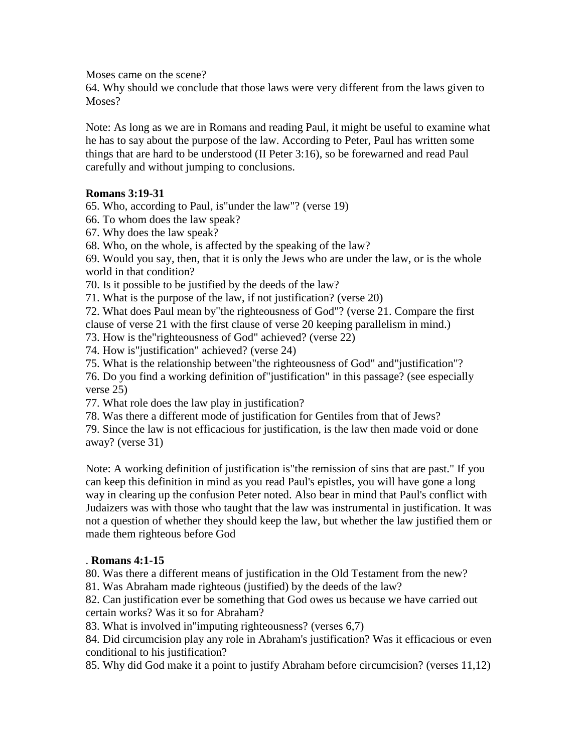Moses came on the scene?

64. Why should we conclude that those laws were very different from the laws given to Moses?

Note: As long as we are in Romans and reading Paul, it might be useful to examine what he has to say about the purpose of the law. According to Peter, Paul has written some things that are hard to be understood (II Peter 3:16), so be forewarned and read Paul carefully and without jumping to conclusions.

#### **Romans 3:19-31**

65. Who, according to Paul, is"under the law"? (verse 19)

- 66. To whom does the law speak?
- 67. Why does the law speak?
- 68. Who, on the whole, is affected by the speaking of the law?

69. Would you say, then, that it is only the Jews who are under the law, or is the whole world in that condition?

70. Is it possible to be justified by the deeds of the law?

71. What is the purpose of the law, if not justification? (verse 20)

72. What does Paul mean by"the righteousness of God"? (verse 21. Compare the first clause of verse 21 with the first clause of verse 20 keeping parallelism in mind.)

73. How is the"righteousness of God" achieved? (verse 22)

- 74. How is"justification" achieved? (verse 24)
- 75. What is the relationship between"the righteousness of God" and"justification"?

76. Do you find a working definition of"justification" in this passage? (see especially verse 25)

77. What role does the law play in justification?

78. Was there a different mode of justification for Gentiles from that of Jews?

79. Since the law is not efficacious for justification, is the law then made void or done away? (verse 31)

Note: A working definition of justification is"the remission of sins that are past." If you can keep this definition in mind as you read Paul's epistles, you will have gone a long way in clearing up the confusion Peter noted. Also bear in mind that Paul's conflict with Judaizers was with those who taught that the law was instrumental in justification. It was not a question of whether they should keep the law, but whether the law justified them or made them righteous before God

#### . **Romans 4:1-15**

80. Was there a different means of justification in the Old Testament from the new?

81. Was Abraham made righteous (justified) by the deeds of the law?

82. Can justification ever be something that God owes us because we have carried out certain works? Was it so for Abraham?

83. What is involved in"imputing righteousness? (verses 6,7)

84. Did circumcision play any role in Abraham's justification? Was it efficacious or even conditional to his justification?

85. Why did God make it a point to justify Abraham before circumcision? (verses 11,12)